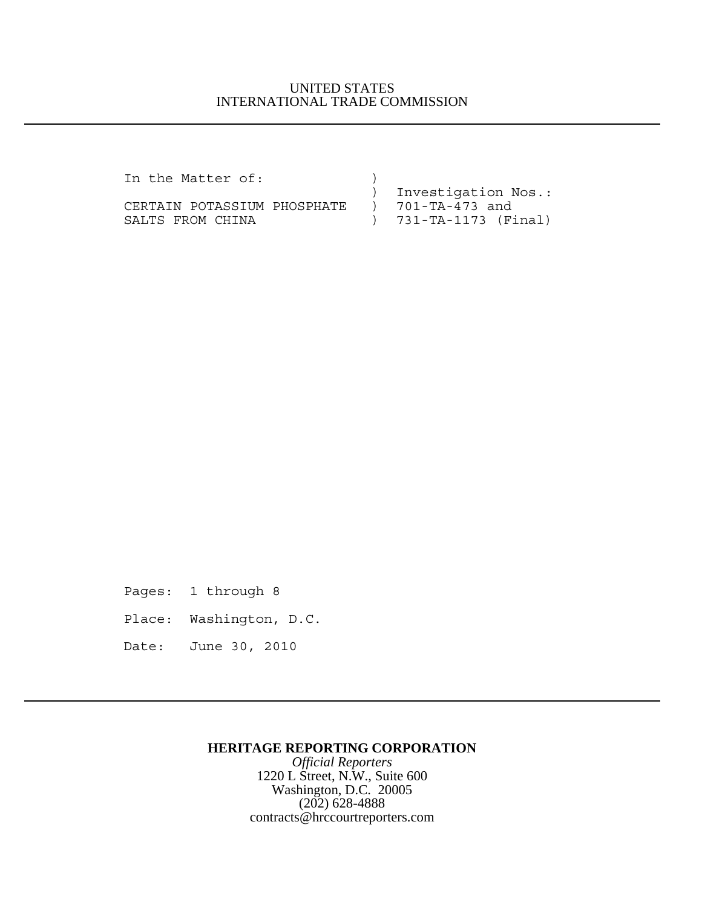## UNITED STATES INTERNATIONAL TRADE COMMISSION

| In the Matter of:           |                       |
|-----------------------------|-----------------------|
|                             | ) Investigation Nos.: |
| CERTAIN POTASSIUM PHOSPHATE | ) 701-TA-473 and      |
| SALTS FROM CHINA            | ) 731-TA-1173 (Final) |

Pages: 1 through 8

Place: Washington, D.C.

Date: June 30, 2010

## **HERITAGE REPORTING CORPORATION**

*Official Reporters* 1220 L Street, N.W., Suite 600 Washington, D.C. 20005 (202) 628-4888 contracts@hrccourtreporters.com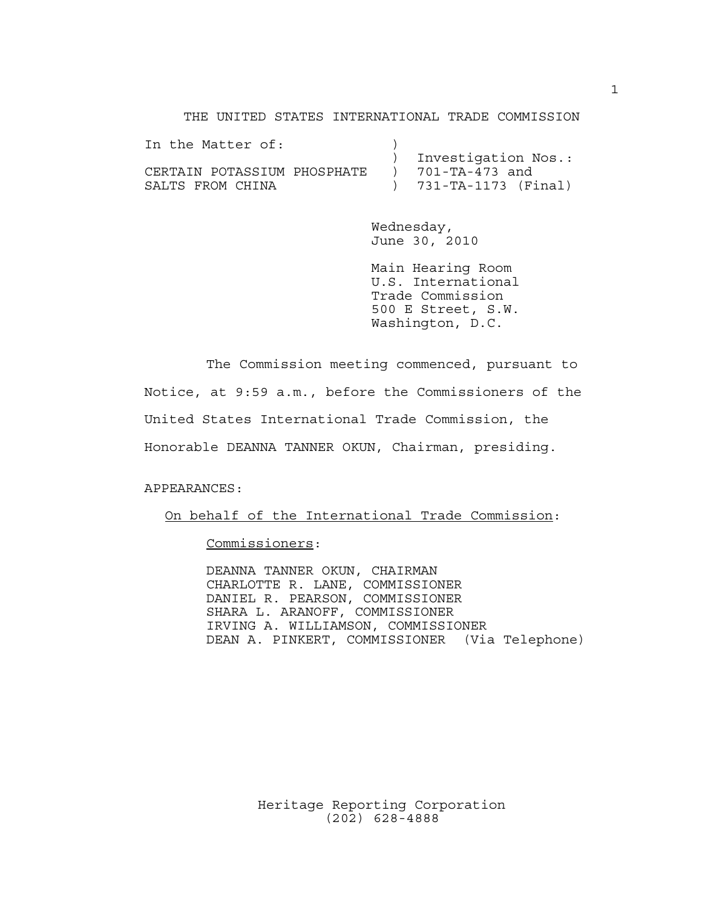THE UNITED STATES INTERNATIONAL TRADE COMMISSION

| In the Matter of:           |                       |
|-----------------------------|-----------------------|
|                             | Investigation Nos.:   |
| CERTAIN POTASSIUM PHOSPHATE | ) 701-TA-473 and      |
| SALTS FROM CHINA            | ) 731-TA-1173 (Final) |

Wednesday, June 30, 2010

Main Hearing Room U.S. International Trade Commission 500 E Street, S.W. Washington, D.C.

The Commission meeting commenced, pursuant to Notice, at 9:59 a.m., before the Commissioners of the United States International Trade Commission, the Honorable DEANNA TANNER OKUN, Chairman, presiding.

APPEARANCES:

On behalf of the International Trade Commission:

Commissioners:

DEANNA TANNER OKUN, CHAIRMAN CHARLOTTE R. LANE, COMMISSIONER DANIEL R. PEARSON, COMMISSIONER SHARA L. ARANOFF, COMMISSIONER IRVING A. WILLIAMSON, COMMISSIONER DEAN A. PINKERT, COMMISSIONER (Via Telephone)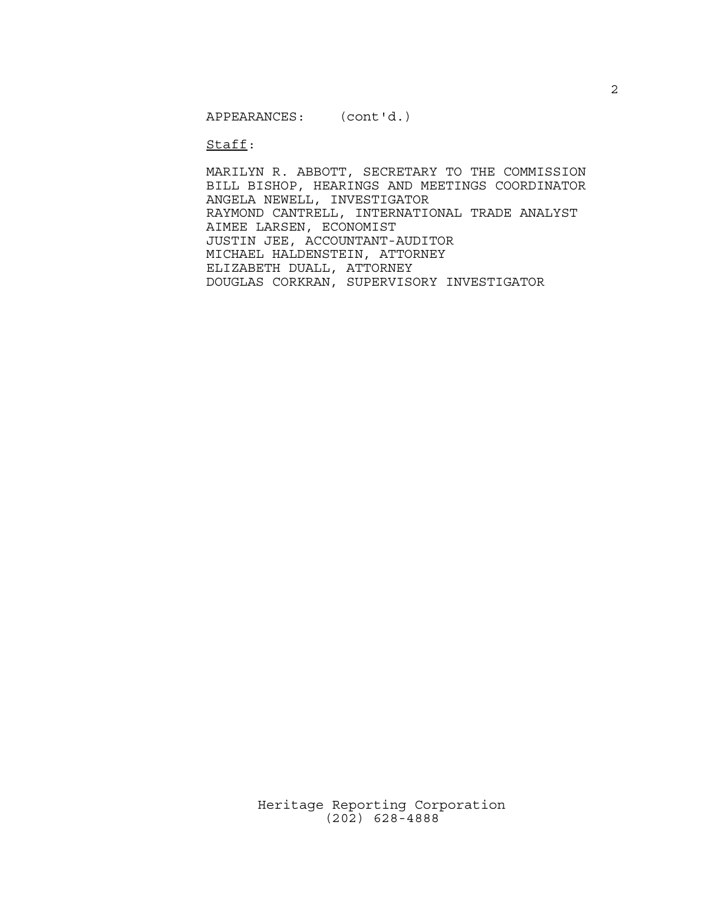Staff:

MARILYN R. ABBOTT, SECRETARY TO THE COMMISSION BILL BISHOP, HEARINGS AND MEETINGS COORDINATOR ANGELA NEWELL, INVESTIGATOR RAYMOND CANTRELL, INTERNATIONAL TRADE ANALYST AIMEE LARSEN, ECONOMIST JUSTIN JEE, ACCOUNTANT-AUDITOR MICHAEL HALDENSTEIN, ATTORNEY ELIZABETH DUALL, ATTORNEY DOUGLAS CORKRAN, SUPERVISORY INVESTIGATOR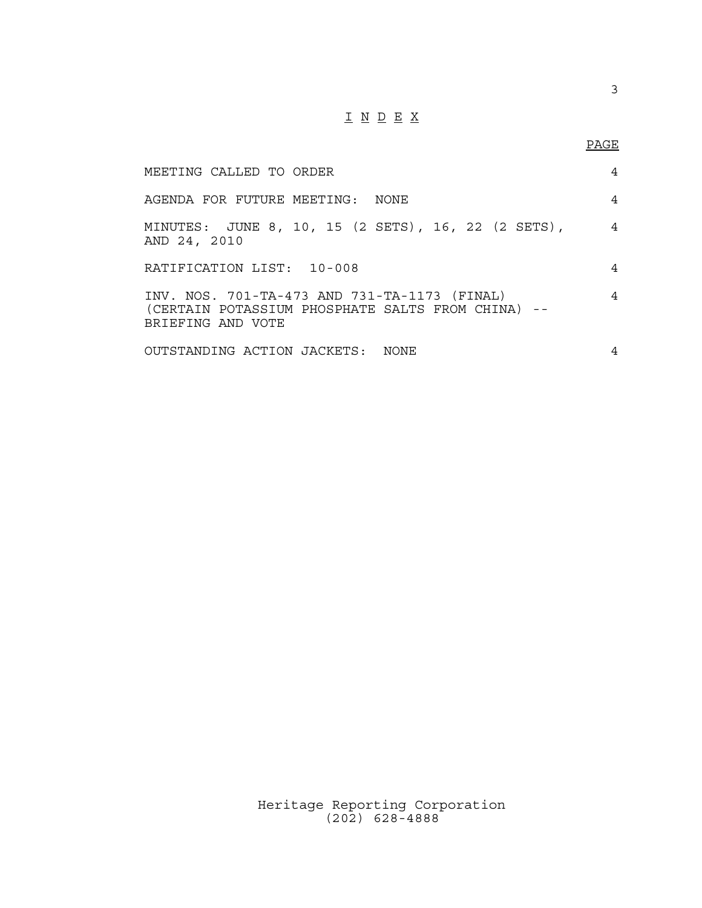## $\underline{\texttt{I}} \underline{\texttt{N}} \underline{\texttt{D}} \underline{\texttt{E}} \underline{\texttt{X}}$

| MEETING CALLED TO ORDER                                                                                                | 4              |
|------------------------------------------------------------------------------------------------------------------------|----------------|
| AGENDA FOR FUTURE MEETING: NONE                                                                                        | 4              |
| MINUTES: JUNE 8, 10, 15 (2 SETS), 16, 22 (2 SETS),<br>AND 24, 2010                                                     | $\overline{4}$ |
| RATIFICATION LIST: 10-008                                                                                              | 4              |
| INV. NOS. 701-TA-473 AND 731-TA-1173 (FINAL)<br>(CERTAIN POTASSIUM PHOSPHATE SALTS FROM CHINA) --<br>BRIEFING AND VOTE | 4              |
| OUTSTANDING ACTION JACKETS: NONE                                                                                       | 4              |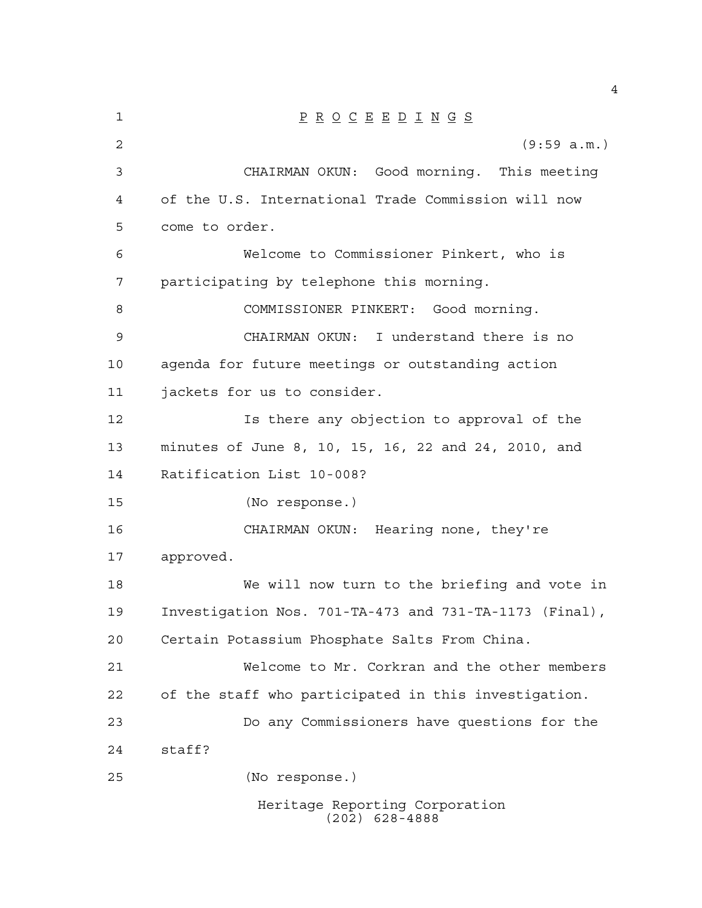| 1  | $\underline{P} \underline{R} \underline{O} \underline{C} \underline{E} \underline{E} \underline{D} \underline{I} \underline{N} \underline{G} \underline{S}$ |
|----|-------------------------------------------------------------------------------------------------------------------------------------------------------------|
| 2  | (9:59 a.m.)                                                                                                                                                 |
| 3  | CHAIRMAN OKUN: Good morning. This meeting                                                                                                                   |
| 4  | of the U.S. International Trade Commission will now                                                                                                         |
| 5  | come to order.                                                                                                                                              |
| 6  | Welcome to Commissioner Pinkert, who is                                                                                                                     |
| 7  | participating by telephone this morning.                                                                                                                    |
| 8  | COMMISSIONER PINKERT: Good morning.                                                                                                                         |
| 9  | CHAIRMAN OKUN: I understand there is no                                                                                                                     |
| 10 | agenda for future meetings or outstanding action                                                                                                            |
| 11 | jackets for us to consider.                                                                                                                                 |
| 12 | Is there any objection to approval of the                                                                                                                   |
| 13 | minutes of June 8, 10, 15, 16, 22 and 24, 2010, and                                                                                                         |
| 14 | Ratification List 10-008?                                                                                                                                   |
| 15 | (No response.)                                                                                                                                              |
| 16 | CHAIRMAN OKUN: Hearing none, they're                                                                                                                        |
| 17 | approved.                                                                                                                                                   |
| 18 | We will now turn to the briefing and vote in                                                                                                                |
| 19 | Investigation Nos. 701-TA-473 and 731-TA-1173 (Final),                                                                                                      |
| 20 | Certain Potassium Phosphate Salts From China.                                                                                                               |
| 21 | Welcome to Mr. Corkran and the other members                                                                                                                |
| 22 | of the staff who participated in this investigation.                                                                                                        |
| 23 | Do any Commissioners have questions for the                                                                                                                 |
| 24 | staff?                                                                                                                                                      |
| 25 | (No response.)                                                                                                                                              |
|    | Heritage Reporting Corporation                                                                                                                              |

(202) 628-4888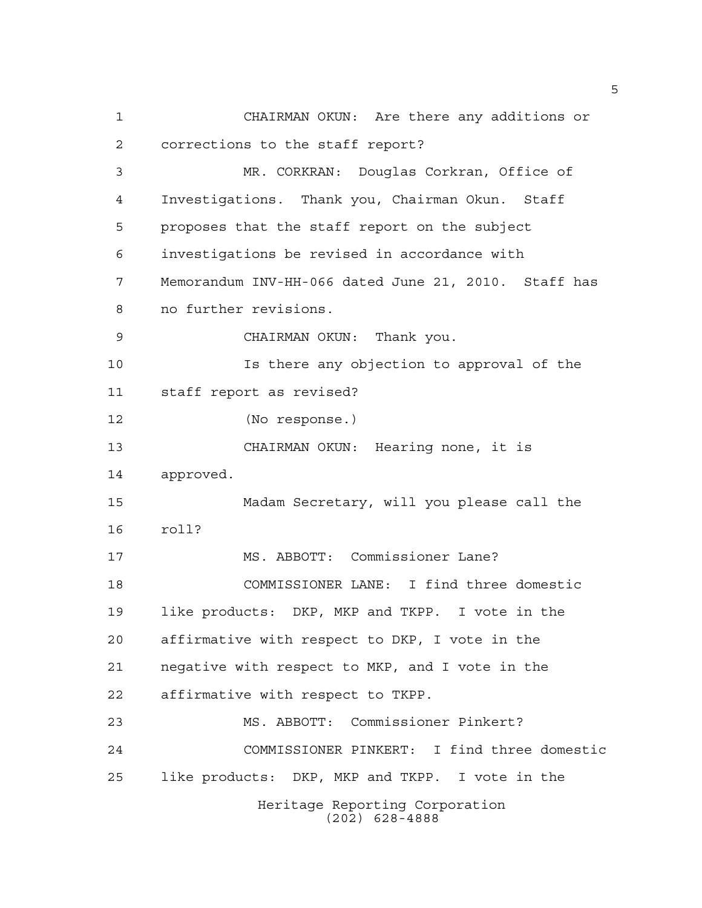CHAIRMAN OKUN: Are there any additions or corrections to the staff report? MR. CORKRAN: Douglas Corkran, Office of Investigations. Thank you, Chairman Okun. Staff proposes that the staff report on the subject investigations be revised in accordance with Memorandum INV-HH-066 dated June 21, 2010. Staff has no further revisions. CHAIRMAN OKUN: Thank you. Is there any objection to approval of the staff report as revised? (No response.) CHAIRMAN OKUN: Hearing none, it is approved. Madam Secretary, will you please call the roll? MS. ABBOTT: Commissioner Lane? COMMISSIONER LANE: I find three domestic like products: DKP, MKP and TKPP. I vote in the affirmative with respect to DKP, I vote in the negative with respect to MKP, and I vote in the affirmative with respect to TKPP. MS. ABBOTT: Commissioner Pinkert? COMMISSIONER PINKERT: I find three domestic like products: DKP, MKP and TKPP. I vote in the Heritage Reporting Corporation (202) 628-4888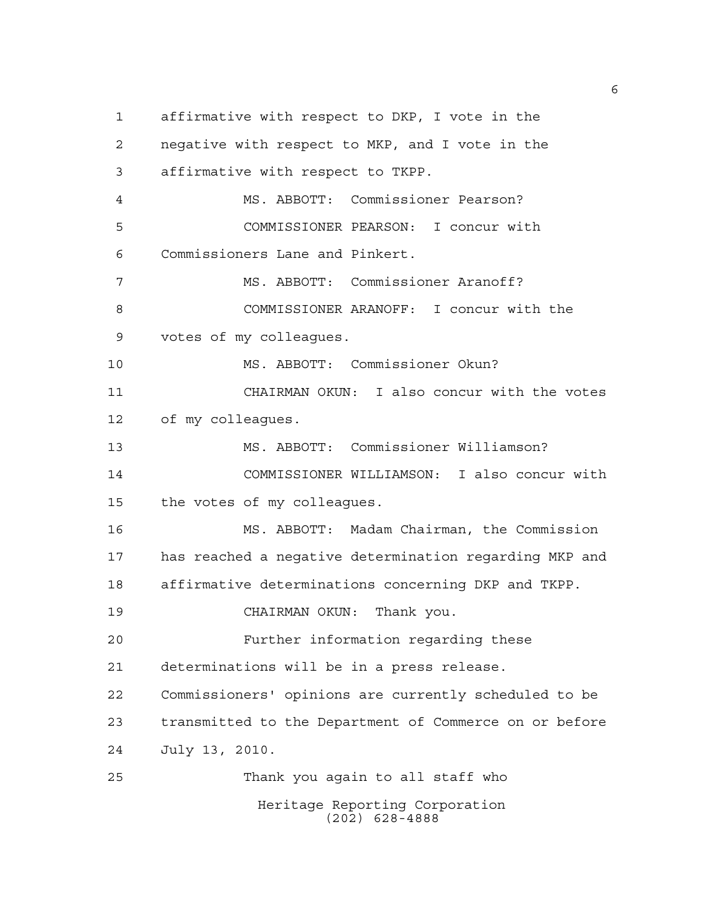affirmative with respect to DKP, I vote in the negative with respect to MKP, and I vote in the affirmative with respect to TKPP. MS. ABBOTT: Commissioner Pearson? COMMISSIONER PEARSON: I concur with Commissioners Lane and Pinkert. MS. ABBOTT: Commissioner Aranoff? COMMISSIONER ARANOFF: I concur with the votes of my colleagues. MS. ABBOTT: Commissioner Okun? CHAIRMAN OKUN: I also concur with the votes of my colleagues. MS. ABBOTT: Commissioner Williamson? COMMISSIONER WILLIAMSON: I also concur with the votes of my colleagues. MS. ABBOTT: Madam Chairman, the Commission has reached a negative determination regarding MKP and affirmative determinations concerning DKP and TKPP. CHAIRMAN OKUN: Thank you. Further information regarding these determinations will be in a press release. Commissioners' opinions are currently scheduled to be transmitted to the Department of Commerce on or before July 13, 2010. Thank you again to all staff who Heritage Reporting Corporation (202) 628-4888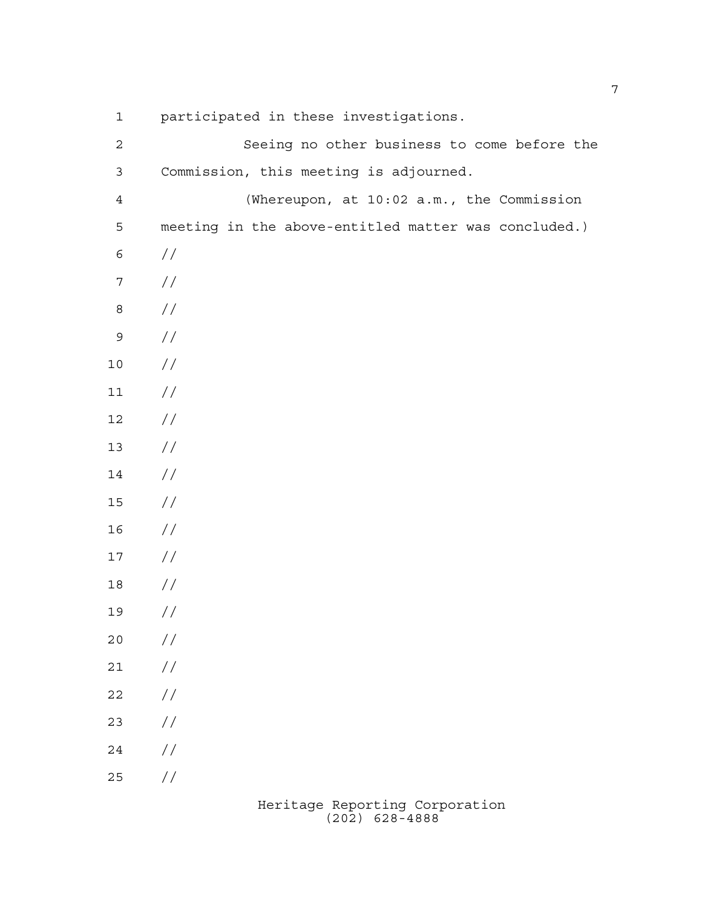| $\mathbf 1$    | participated in these investigations.                |
|----------------|------------------------------------------------------|
| $\sqrt{2}$     | Seeing no other business to come before the          |
| $\mathsf 3$    | Commission, this meeting is adjourned.               |
| $\overline{4}$ | (Whereupon, at 10:02 a.m., the Commission            |
| 5              | meeting in the above-entitled matter was concluded.) |
| $\epsilon$     | //                                                   |
| $\sqrt{ }$     | $\frac{1}{2}$                                        |
| $\,8\,$        | $\frac{1}{2}$                                        |
| $\mathsf 9$    | //                                                   |
| $10$           | //                                                   |
| $11\,$         | //                                                   |
| 12             | //                                                   |
| 13             | //                                                   |
| 14             | //                                                   |
| $15$           | //                                                   |
| 16             | //                                                   |
| 17             | //                                                   |
| 18             | //                                                   |
| 19             | //                                                   |
| 20             | $\frac{1}{2}$                                        |
| 21             | $\frac{1}{2}$                                        |
| 22             | $\frac{1}{2}$                                        |
| 23             | $\frac{1}{2}$                                        |
| 24             | $\frac{1}{2}$                                        |
| 25             | //                                                   |
|                |                                                      |